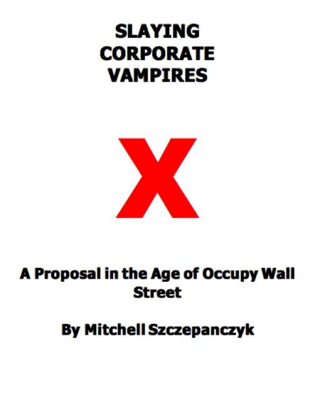# **SLAYING CORPORATE VAMPIRES**



## A Proposal in the Age of Occupy Wall **Street**

### **By Mitchell Szczepanczyk**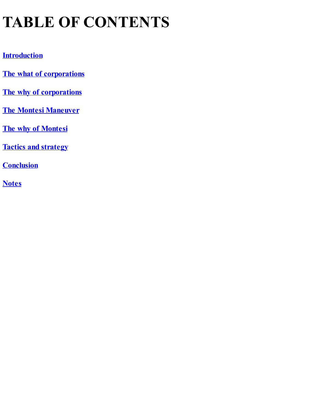## **TABLE OF CONTENTS**

#### **[Introduction](#page-5-0)**

- **The what of [corporations](#page-9-0)**
- **The why of [corporations](#page-11-0)**
- **The Montesi [Maneuver](#page-13-0)**
- **The why of [Montesi](#page-18-0)**
- **Tactics and [strategy](#page-20-0)**
- **[Conclusion](#page-24-0)**
- **[Notes](#page-26-0)**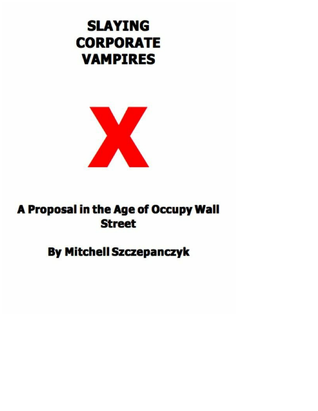



### A Proposal in the Age of Occupy Wall **Street**

### **By Mitchell Szczepanczyk**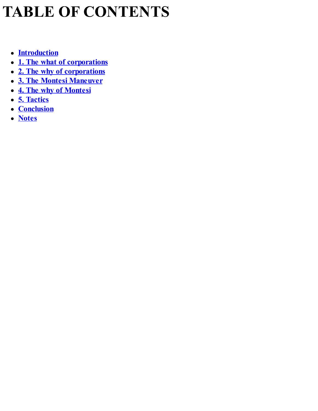## **TABLE OF CONTENTS**

- **[Introduction](#page-5-0)**
- **1. The what of [corporations](#page-9-0)**
- **2. The why of [corporations](#page-11-0)**
- **3. The Montesi [Maneuver](#page-13-0)**
- **4. The why of [Montesi](#page-18-0)**
- **5. [Tactics](#page-20-0)**
- **[Conclusion](#page-24-0)**
- **[Notes](#page-26-0)**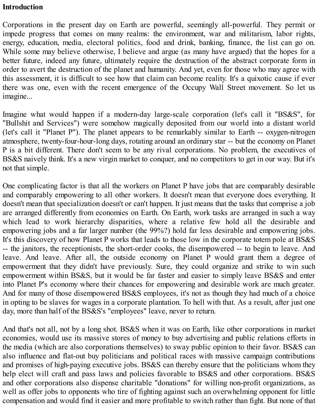#### <span id="page-5-0"></span>**Introduction**

Corporations in the present day on Earth are powerful, seemingly all-powerful. They permit or impede progress that comes on many realms: the environment, war and militarism, labor rights, energy, education, media, electoral politics, food and drink, banking, finance, the list can go on. While some may believe otherwise, I believe and argue (as many have argued) that the hopes for a better future, indeed any future, ultimately require the destruction of the abstract corporate form in order to avert the destruction of the planet and humanity. And yet, even for those who may agree with this assessment, it is difficult to see how that claim can become reality. It's a quixotic cause if ever there was one, even with the recent emergence of the Occupy Wall Street movement. So let us imagine...

Imagine what would happen if a modern-day large-scale corporation (let's call it "BS&S", for "Bullshit and Services") were somehow magically deposited from our world into a distant world (let's call it "Planet P"). The planet appears to be remarkably similar to Earth -- oxygen-nitrogen atmosphere, twenty-four-hour-long days, rotating around an ordinary star -- but the economy on Planet P is a bit different. There don't seem to be any rival corporations. No problem, the executives of BS&S naively think. It's a new virgin market to conquer, and no competitors to get in our way. But it's not that simple.

One complicating factor is that all the workers on Planet P have jobs that are comparably desirable and comparably empowering to all other workers. It doesn't mean that everyone does everything. It doesn't mean that specialization doesn't or can't happen. It just means that the tasks that comprise a job are arranged differently from economies on Earth. On Earth, work tasks are arranged in such a way which lead to work hierarchy disparities, where a relative few hold all the desirable and empowering jobs and a far larger number (the 99%?) hold far less desirable and empowering jobs. It's this discovery of how Planet P works that leads to those low in the corporate totem pole at BS&S -- the janitors, the receptionists, the short-order cooks, the disempowered -- to begin to leave. And leave. And leave. After all, the outside economy on Planet P would grant them a degree of empowerment that they didn't have previously. Sure, they could organize and strike to win such empowerment within BS&S, but it would be far faster and easier to simply leave BS&S and enter into Planet P's economy where their chances for empowering and desirable work are much greater. And for many of those disempowered BS&S employees, it's not as though they had much of a choice in opting to be slaves for wages in a corporate plantation. To hell with that. As a result, after just one day, more than half of the BS&S's "employees" leave, never to return.

And that's not all, not by a long shot. BS&S when it was on Earth, like other corporations in market economies, would use its massive stores of money to buy advertising and public relations efforts in the media (which are also corporations themselves) to sway public opinion to their favor. BS&S can also influence and flat-out buy politicians and political races with massive campaign contributions and promises of high-paying executive jobs. BS&S can thereby ensure that the politicians whom they help elect will craft and pass laws and policies favorable to BS&S and other corporations. BS&S and other corporations also dispense charitable "donations" for willing non-profit organizations, as well as offer jobs to opponents who tire of fighting against such an overwhelming opponent for little compensation and would find it easier and more profitable to switch rather than fight. But none of that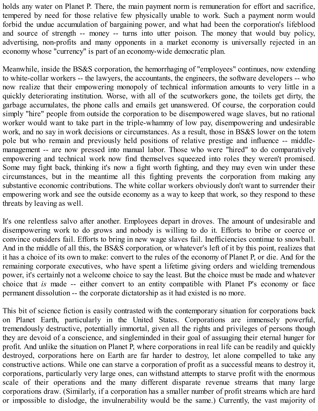holds any water on Planet P. There, the main payment norm is remuneration for effort and sacrifice, tempered by need for those relative few physically unable to work. Such a payment norm would forbid the undue accumulation of bargaining power, and what had been the corporation's lifeblood and source of strength -- money -- turns into utter poison. The money that would buy policy, advertising, non-profits and many opponents in a market economy is universally rejected in an economy whose "currency" is part of an economy-wide democratic plan.

Meanwhile, inside the BS&S corporation, the hemorrhaging of "employees" continues, now extending to white-collar workers -- the lawyers, the accountants, the engineers, the software developers -- who now realize that their empowering monopoly of technical information amounts to very little in a quickly deteriorating institution. Worse, with all of the scutworkers gone, the toilets get dirty, the garbage accumulates, the phone calls and emails get unanswered. Of course, the corporation could simply "hire" people from outside the corporation to be disempowered wage slaves, but no rational worker would want to take part in the triple-whammy of low pay, disempowering and undesirable work, and no say in work decisions or circumstances. As a result, those in BS&S lower on the totem pole but who remain and previously held positions of relative prestige and influence -- middlemanagement -- are now pressed into manual labor. Those who were "hired" to do comparatively empowering and technical work now find themselves squeezed into roles they weren't promised. Some may fight back, thinking it's now a fight worth fighting, and they may even win under these circumstances, but in the meantime all this fighting prevents the corporation from making any substantive economic contributions. The white collar workers obviously don't want to surrender their empowering work and see the outside economy as a way to keep that work, so they respond to these threats by leaving as well.

It's one relentless salvo after another. Employees depart in droves. The amount of undesirable and disempowering work to do grows and nobody is willing to do it. Efforts to bribe or coerce or convince outsiders fail. Efforts to bring in new wage slaves fail. Inefficiencies continue to snowball. And in the middle of all this, the BS&S corporation, or whatever's left of it by this point, realizes that it has a choice of its own to make: convert to the rules of the economy of Planet P, or die. And for the remaining corporate executives, who have spent a lifetime giving orders and wielding tremendous power, it's certainly not a welcome choice to say the least. But the choice must be made and whatever choice that *is* made -- either convert to an entity compatible with Planet P's economy or face permanent dissolution -- the corporate dictatorship as it had existed is no more.

This bit of science fiction is easily contrasted with the contemporary situation for corporations back on Planet Earth, particularly in the United States. Corporations are immensely powerful, tremendously destructive, potentially immortal, given all the rights and privileges of persons though they are devoid of a conscience, and singleminded in their goal of assuaging their eternal hunger for profit. And unlike the situation on Planet P, where corporations in real life can be readily and quickly destroyed, corporations here on Earth are far harder to destroy, let alone compelled to take any constructive actions. While one can starve a corporation of profit as a successful means to destroy it, corporations, particularly very large ones, can withstand attempts to starve profit with the enormous scale of their operations and the many different disparate revenue streams that many large corporations draw. (Similarly, if a corporation has a smaller number of profit streams which are hard or impossible to dislodge, the invulnerability would be the same.) Currently, the vast majority of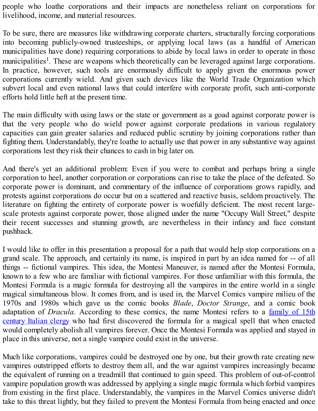people who loathe corporations and their impacts are nonetheless reliant on corporations for livelihood, income, and material resources.

To be sure, there are measures like withdrawing corporate charters, structurally forcing corporations into becoming publicly-owned trusteeships, or applying local laws (as a handful of American municipalities have done) requiring corporations to abide by local laws in order to operate in those municipalities<sup>1</sup>. These are weapons which theoretically can be leveraged against large corporations. In practice, however, such tools are enormously difficult to apply given the enormous power corporations currently wield. And given such devices like the World Trade Organization which subvert local and even national laws that could interfere with corporate profit, such anti-corporate efforts hold little heft at the present time.

The main difficulty with using laws or the state or government as a goad against corporate power is that the very people who do wield power against corporate predations in various regulatory capacities can gain greater salaries and reduced public scrutiny by joining corporations rather than fighting them. Understandably, they're loathe to actually use that power in any substantive way against corporations lest they risk their chances to cash in big later on.

And there's yet an additional problem: Even if you were to combat and perhaps bring a single corporation to heel, another corporation or corporations can rise to take the place of the defeated. So corporate power is dominant, and commentary of the influence of corporations grows rapidly, and protests against corporations do occur but on a scattered and reactive basis, seldom proactively. The literature on fighting the entirety of corporate power is woefully deficient. The most recent largescale protests against corporate power, those aligned under the name "Occupy Wall Street," despite their recent successes and stunning growth, are nevertheless in their infancy and face constant pushback.

I would like to offer in this presentation a proposal for a path that would help stop corporations on a grand scale. The approach, and certainly its name, is inspired in part by an idea named for -- of all things -- fictional vampires. This idea, the Montesi Maneuver, is named after the Montesi Formula, known to a few who are familiar with fictional vampires. For those unfamiliar with this formula, the Montesi Formula is a magic formula for destroying all the vampires in the entire world in a single magical simultaneous blow. It comes from, and is used in, the Marvel Comics vampire milieu of the 1970s and 1980s which gave us the comic books *Blade*, *Doctor Strange*, and a comic book adaptation of *Dracula*. According to these comics, the name Montesi refers to a family of 15th century Italian clergy who had first [discovered](http://www.marvunapp.com/Appendix/montesi.htm) the formula for a magical spell that when enacted would completely abolish all vampires forever. Once the Montesi Formula was applied and stayed in place in this universe, not a single vampire could exist in the universe.

Much like corporations, vampires could be destroyed one by one, but their growth rate creating new vampires outstripped efforts to destroy them all, and the war against vampires increasingly became the equivalent of running on a treadmill that continued to gain speed. This problem of out-of-control vampire population growth was addressed by applying a single magic formula which forbid vampires from existing in the first place. Understandably, the vampires in the Marvel Comics universe didn't take to this threat lightly, but they failed to prevent the Montesi Formula from being enacted and once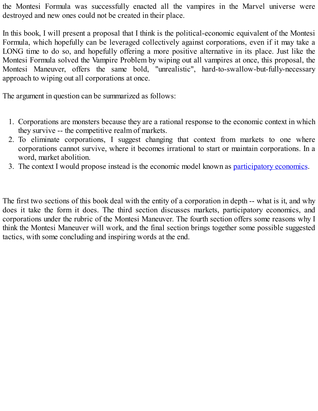the Montesi Formula was successfully enacted all the vampires in the Marvel universe were destroyed and new ones could not be created in their place.

In this book, I will present a proposal that I think is the political-economic equivalent of the Montesi Formula, which hopefully can be leveraged collectively against corporations, even if it may take a LONG time to do so, and hopefully offering a more positive alternative in its place. Just like the Montesi Formula solved the Vampire Problem by wiping out all vampires at once, this proposal, the Montesi Maneuver, offers the same bold, "unrealistic", hard-to-swallow-but-fully-necessary approach to wiping out all corporations at once.

The argument in question can be summarized as follows:

- 1. Corporations are monsters because they are a rational response to the economic context in which they survive -- the competitive realm of markets.
- 2. To eliminate corporations, I suggest changing that context from markets to one where corporations cannot survive, where it becomes irrational to start or maintain corporations. In a word, market abolition.
- 3. The context I would propose instead is the economic model known as [participatory](http://www.parecon.org) economics.

The first two sections of this book deal with the entity of a corporation in depth -- what is it, and why does it take the form it does. The third section discusses markets, participatory economics, and corporations under the rubric of the Montesi Maneuver. The fourth section offers some reasons why I think the Montesi Maneuver will work, and the final section brings together some possible suggested tactics, with some concluding and inspiring words at the end.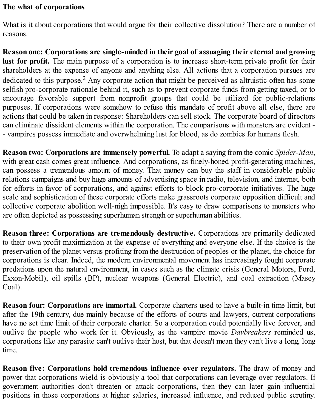#### <span id="page-9-0"></span>**The what of corporations**

What is it about corporations that would argue for their collective dissolution? There are a number of reasons.

**Reason one: Corporations are single-minded in their goal of assuaging their eternal and growing lust for profit.** The main purpose of a corporation is to increase short-term private profit for their shareholders at the expense of anyone and anything else. All actions that a corporation pursues are dedicated to this purpose.<sup>2</sup> Any corporate action that might be perceived as altruistic often has some selfish pro-corporate rationale behind it, such as to prevent corporate funds from getting taxed, or to encourage favorable support from nonprofit groups that could be utilized for public-relations purposes. If corporations were somehow to refuse this mandate of profit above all else, there are actions that could be taken in response: Shareholders can sell stock. The corporate board of directors can eliminate dissident elements within the corporation. The comparisons with monsters are evident - - vampires possess immediate and overwhelming lust for blood, as do zombies for humans flesh.

**Reason two: Corporations are immensely powerful.** To adapt a saying from the comic *Spider-Man*, with great cash comes great influence. And corporations, as finely-honed profit-generating machines, can possess a tremendous amount of money. That money can buy the staff in considerable public relations campaigns and buy huge amounts of advertising space in radio, television, and internet, both for efforts in favor of corporations, and against efforts to block pro-corporate initiatives. The huge scale and sophistication of these corporate efforts make grassroots corporate opposition difficult and collective corporate abolition well-nigh impossible. It's easy to draw comparisons to monsters who are often depicted as possessing superhuman strength or superhuman abilities.

**Reason three: Corporations are tremendously destructive.** Corporations are primarily dedicated to their own profit maximization at the expense of everything and everyone else. If the choice is the preservation of the planet versus profiting from the destruction of peoples or the planet, the choice for corporations is clear. Indeed, the modern environmental movement has increasingly fought corporate predations upon the natural environment, in cases such as the climate crisis (General Motors, Ford, Exxon-Mobil), oil spills (BP), nuclear weapons (General Electric), and coal extraction (Masey Coal).

**Reason four: Corporations are immortal.** Corporate charters used to have a built-in time limit, but after the 19th century, due mainly because of the efforts of courts and lawyers, current corporations have no set time limit of their corporate charter. So a corporation could potentially live forever, and outlive the people who work for it. Obviously, as the vampire movie *Daybreakers* reminded us, corporations like any parasite can't outlive their host, but that doesn't mean they can't live a long, long time.

**Reason five: Corporations hold tremendous influence over regulators.** The draw of money and power that corporations wield is obviously a tool that corporations can leverage over regulators. If government authorities don't threaten or attack corporations, then they can later gain influential positions in those corporations at higher salaries, increased influence, and reduced public scrutiny.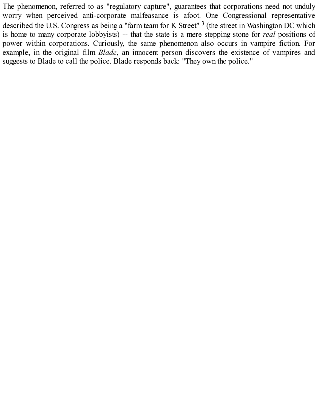The phenomenon, referred to as "regulatory capture", guarantees that corporations need not unduly worry when perceived anti-corporate malfeasance is afoot. One Congressional representative described the U.S. Congress as being a "farm team for K Street"<sup>3</sup> (the street in Washington DC which is home to many corporate lobbyists) -- that the state is a mere stepping stone for *real* positions of power within corporations. Curiously, the same phenomenon also occurs in vampire fiction. For example, in the original film *Blade*, an innocent person discovers the existence of vampires and suggests to Blade to call the police. Blade responds back: "They own the police."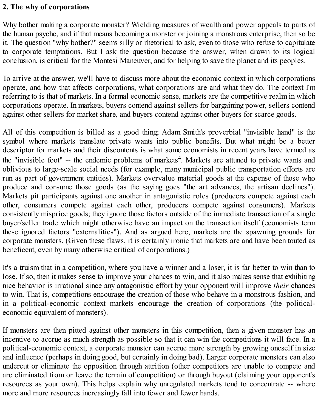#### <span id="page-11-0"></span>**2. The why of corporations**

Why bother making a corporate monster? Wielding measures of wealth and power appeals to parts of the human psyche, and if that means becoming a monster or joining a monstrous enterprise, then so be it. The question "why bother?" seems silly or rhetorical to ask, even to those who refuse to capitulate to corporate temptations. But I ask the question because the answer, when drawn to its logical conclusion, is critical for the Montesi Maneuver, and for helping to save the planet and its peoples.

To arrive at the answer, we'll have to discuss more about the economic context in which corporations operate, and how that affects corporations, what corporations are and what they do. The context I'm referring to is that of markets. In a formal economic sense, markets are the competitive realm in which corporations operate. In markets, buyers contend against sellers for bargaining power, sellers contend against other sellers for market share, and buyers contend against other buyers for scarce goods.

All of this competition is billed as a good thing; Adam Smith's proverbial "invisible hand" is the symbol where markets translate private wants into public benefits. But what might be a better descriptor for markets and their discontents is what some economists in recent years have termed as the "invisible foot" -- the endemic problems of markets<sup>4</sup>. Markets are attuned to private wants and oblivious to large-scale social needs (for example, many municipal public transportation efforts are run as part of government entities). Markets overvalue material goods at the expense of those who produce and consume those goods (as the saying goes "the art advances, the artisan declines"). Markets pit participants against one another in antagonistic roles (producers compete against each other, consumers compete against each other, producers compete against consumers). Markets consistently misprice goods; they ignore those factors outside of the immediate transaction of a single buyer/seller trade which might otherwise have an impact on the transaction itself (economists term these ignored factors "externalities"). And as argued here, markets are the spawning grounds for corporate monsters. (Given these flaws, it is certainly ironic that markets are and have been touted as beneficent, even by many otherwise critical of corporations.)

It's a truism that in a competition, where you have a winner and a loser, it is far better to win than to lose. If so, then it makes sense to improve your chances to win, and it also makes sense that exhibiting nice behavior is irrational since any antagonistic effort by your opponent will improve *their* chances to win. That is, competitions encourage the creation of those who behave in a monstrous fashion, and in a political-economic context markets encourage the creation of corporations (the politicaleconomic equivalent of monsters).

If monsters are then pitted against other monsters in this competition, then a given monster has an incentive to accrue as much strength as possible so that it can win the competitions it will face. In a political-economic context, a corporate monster can accrue more strength by growing oneself in size and influence (perhaps in doing good, but certainly in doing bad). Larger corporate monsters can also undercut or eliminate the opposition through attrition (other competitors are unable to compete and are eliminated from or leave the terrain of competition) or through buyout (claiming your opponent's resources as your own). This helps explain why unregulated markets tend to concentrate -- where more and more resources increasingly fall into fewer and fewer hands.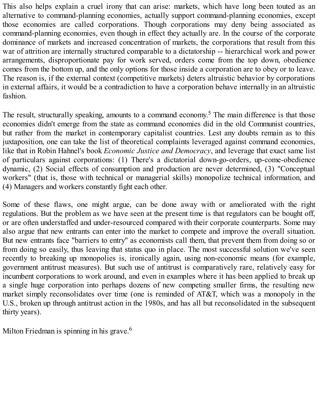This also helps explain a cruel irony that can arise: markets, which have long been touted as an alternative to command-planning economies, actually support command-planning economies, except those economies are called corporations. Though corporations may deny being associated as command-planning economies, even though in effect they actually are. In the course of the corporate dominance of markets and increased concentration of markets, the corporations that result from this war of attrition are internally structured comparable to a dictatorship -- hierarchical work and power arrangements, disproportionate pay for work served, orders come from the top down, obedience comes from the bottom up, and the only options for those inside a corporation are to obey or to leave. The reason is, if the external context (competitive markets) deters altruistic behavior by corporations in external affairs, it would be a contradiction to have a corporation behave internally in an altruistic fashion.

The result, structurally speaking, amounts to a command economy.<sup>5</sup> The main difference is that those economies didn't emerge from the state as command economies did in the old Communist countries, but rather from the market in contemporary capitalist countries. Lest any doubts remain as to this juxtaposition, one can take the list of theoretical complaints leveraged against command economies, like that in Robin Hahnel's book *Economic Justice and Democracy*, and leverage that exact same list of particulars against corporations: (1) There's a dictatorial down-go-orders, up-come-obedience dynamic, (2) Social effects of consumption and production are never determined, (3) "Conceptual workers" (that is, those with technical or managerial skills) monopolize technical information, and (4) Managers and workers constantly fight each other.

Some of these flaws, one might argue, can be done away with or ameliorated with the right regulations. But the problem as we have seen at the present time is that regulators can be bought off, or are often understaffed and under-resourced compared with their corporate counterparts. Some may also argue that new entrants can enter into the market to compete and improve the overall situation. But new entrants face "barriers to entry" as economists call them, that prevent them from doing so or from doing so easily, thus leaving that status quo in place. The most successful solution we've seen recently to breaking up monopolies is, ironically again, using non-economic means (for example, government antitrust measures). But such use of antitrust is comparatively rare, relatively easy for incumbent corporations to work around, and even in examples where it has been applied to break up a single huge corporation into perhaps dozens of new competing smaller firms, the resulting new market simply reconsolidates over time (one is reminded of AT&T, which was a monopoly in the U.S., broken up through antitrust action in the 1980s, and has all but reconsolidated in the subsequent thirty years).

Milton Friedman is spinning in his grave.<sup>6</sup>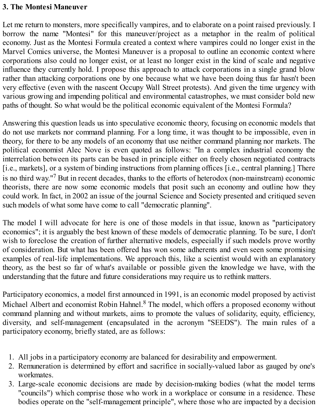#### <span id="page-13-0"></span>**3. The Montesi Maneuver**

Let me return to monsters, more specifically vampires, and to elaborate on a point raised previously. I borrow the name "Montesi" for this maneuver/project as a metaphor in the realm of political economy. Just as the Montesi Formula created a context where vampires could no longer exist in the Marvel Comics universe, the Montesi Maneuver is a proposal to outline an economic context where corporations also could no longer exist, or at least no longer exist in the kind of scale and negative influence they currently hold. I propose this approach to attack corporations in a single grand blow rather than attacking corporations one by one because what we have been doing thus far hasn't been very effective (even with the nascent Occupy Wall Street protests). And given the time urgency with various growing and impending political and environmental catastrophes, we must consider bold new paths of thought. So what would be the political economic equivalent of the Montesi Formula?

Answering this question leads us into speculative economic theory, focusing on economic models that do not use markets nor command planning. For a long time, it was thought to be impossible, even in theory, for there to be any models of an economy that use neither command planning nor markets. The political economist Alec Nove is even quoted as follows: "In a complex industrial economy the interrelation between its parts can be based in principle either on freely chosen negotiated contracts [i.e., markets], or a system of binding instructions from planning offices [i.e., central planning.] There is no third way." <sup>7</sup> But in recent decades, thanks to the efforts of heterodox (non-mainstream) economic theorists, there are now some economic models that posit such an economy and outline how they could work. In fact, in 2002 an issue of the journal Science and Society presented and critiqued seven such models of what some have come to call "democratic planning".

The model I will advocate for here is one of those models in that issue, known as "participatory economics"; it is arguably the best known of these models of democratic planning. To be sure, I don't wish to foreclose the creation of further alternative models, especially if such models prove worthy of consideration. But what has been offered has won some adherents and even seen some promising examples of real-life implementations. We approach this, like a scientist would with an explanatory theory, as the best so far of what's available or possible given the knowledge we have, with the understanding that the future and future considerations may require us to rethink matters.

Participatory economics, a model first announced in 1991, is an economic model proposed by activist Michael Albert and economist Robin Hahnel.<sup>8</sup> The model, which offers a proposed economy without command planning and without markets, aims to promote the values of solidarity, equity, efficiency, diversity, and self-management (encapsulated in the acronym "SEEDS"). The main rules of a participatory economy, briefly stated, are as follows:

- 1. All jobs in a participatory economy are balanced for desirability and empowerment.
- 2. Remuneration is determined by effort and sacrifice in socially-valued labor as gauged by one's workmates.
- 3. Large-scale economic decisions are made by decision-making bodies (what the model terms "councils") which comprise those who work in a workplace or consume in a residence. These bodies operate on the "self-management principle", where those who are impacted by a decision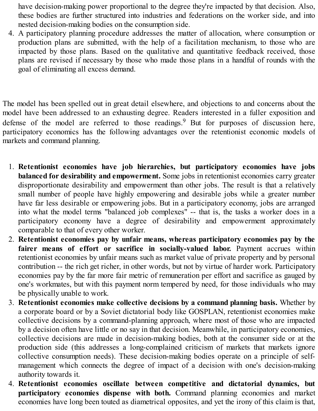have decision-making power proportional to the degree they're impacted by that decision. Also, these bodies are further structured into industries and federations on the worker side, and into nested decision-making bodies on the consumption side.

4. A participatory planning procedure addresses the matter of allocation, where consumption or production plans are submitted, with the help of a facilitation mechanism, to those who are impacted by those plans. Based on the qualitative and quantitative feedback received, those plans are revised if necessary by those who made those plans in a handful of rounds with the goal of eliminating all excess demand.

The model has been spelled out in great detail elsewhere, and objections to and concerns about the model have been addressed to an exhausting degree. Readers interested in a fuller exposition and defense of the model are referred to those readings. <sup>9</sup> But for purposes of discussion here, participatory economics has the following advantages over the retentionist economic models of markets and command planning.

- 1. **Retentionist economies have job hierarchies, but participatory economies have jobs balanced for desirability and empowerment.** Some jobs in retentionist economies carry greater disproportionate desirability and empowerment than other jobs. The result is that a relatively small number of people have highly empowering and desirable jobs while a greater number have far less desirable or empowering jobs. But in a participatory economy, jobs are arranged into what the model terms "balanced job complexes" -- that is, the tasks a worker does in a participatory economy have a degree of desirability and empowerment approximately comparable to that of every other worker.
- 2. **Retentionist economies pay by unfair means, whereas participatory economies pay by the fairer means of effort or sacrifice in socially-valued labor.** Payment accrues within retentionist economies by unfair means such as market value of private property and by personal contribution -- the rich get richer, in other words, but not by virtue of harder work. Participatory economies pay by the far more fair metric of remuneration per effort and sacrifice as gauged by one's workmates, but with this payment norm tempered by need, for those individuals who may be physically unable to work.
- 3. **Retentionist economies make collective decisions by a command planning basis.** Whether by a corporate board or by a Soviet dictatorial body like GOSPLAN, retentionist economies make collective decisions by a command-planning approach, where most of those who are impacted by a decision often have little or no say in that decision. Meanwhile, in participatory economies, collective decisions are made in decision-making bodies, both at the consumer side or at the production side (this addresses a long-complained criticism of markets that markets ignore collective consumption needs). These decision-making bodies operate on a principle of selfmanagement which connects the degree of impact of a decision with one's decision-making authority towards it.
- 4. **Retentionist economies oscillate between competitive and dictatorial dynamics, but participatory economies dispense with both.** Command planning economies and market economies have long been touted as diametrical opposites, and yet the irony of this claim is that,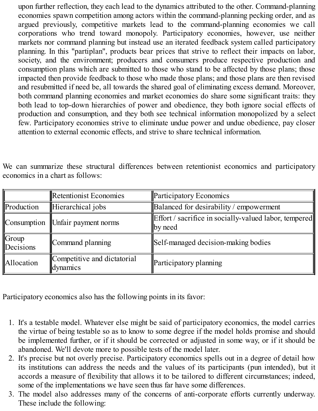upon further reflection, they each lead to the dynamics attributed to the other. Command-planning economies spawn competition among actors within the command-planning pecking order, and as argued previously, competitive markets lead to the command-planning economies we call corporations who trend toward monopoly. Participatory economies, however, use neither markets nor command planning but instead use an iterated feedback system called participatory planning. In this "partiplan", products bear prices that strive to reflect their impacts on labor, society, and the environment; producers and consumers produce respective production and consumption plans which are submitted to those who stand to be affected by those plans; those impacted then provide feedback to those who made those plans; and those plans are then revised and resubmitted if need be, all towards the shared goal of eliminating excess demand. Moreover, both command planning economies and market economies do share some significant traits: they both lead to top-down hierarchies of power and obedience, they both ignore social effects of production and consumption, and they both see technical information monopolized by a select few. Participatory economies strive to eliminate undue power and undue obedience, pay closer attention to external economic effects, and strive to share technical information.

We can summarize these structural differences between retentionist economics and participatory economics in a chart as follows:

|                                | Retentionist Economies                  | <b>Participatory Economics</b>                                          |
|--------------------------------|-----------------------------------------|-------------------------------------------------------------------------|
| Production                     | Hierarchical jobs                       | Balanced for desirability / empowerment                                 |
|                                | Consumption Unfair payment norms        | <b>Effort</b> / sacrifice in socially-valued labor, tempered<br>by need |
| $\mathbb{G}$ roup<br>Decisions | Command planning                        | Self-managed decision-making bodies                                     |
| Allocation                     | Competitive and dictatorial<br>dynamics | Participatory planning                                                  |

Participatory economics also has the following points in its favor:

- 1. It's a testable model. Whatever else might be said of participatory economics, the model carries the virtue of being testable so as to know to some degree if the model holds promise and should be implemented further, or if it should be corrected or adjusted in some way, or if it should be abandoned. We'll devote more to possible tests of the model later.
- 2. It's precise but not overly precise. Participatory economics spells out in a degree of detail how its institutions can address the needs and the values of its participants (pun intended), but it accords a measure of flexibility that allows it to be tailored to different circumstances; indeed, some of the implementations we have seen thus far have some differences.
- 3. The model also addresses many of the concerns of anti-corporate efforts currently underway. These include the following: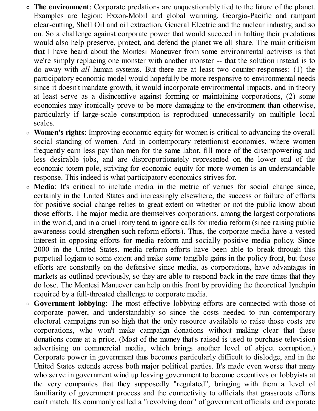- **The environment**: Corporate predations are unquestionably tied to the future of the planet. Examples are legion: Exxon-Mobil and global warming, Georgia-Pacific and rampant clear-cutting, Shell Oil and oil extraction, General Electric and the nuclear industry, and so on. So a challenge against corporate power that would succeed in halting their predations would also help preserve, protect, and defend the planet we all share. The main criticism that I have heard about the Montesi Maneuver from some environmental activists is that we're simply replacing one monster with another monster -- that the solution instead is to do away with *all* human systems. But there are at least two counter-responses: (1) the participatory economic model would hopefully be more responsive to environmental needs since it doesn't mandate growth, it would incorporate environmental impacts, and in theory at least serve as a disincentive against forming or maintaining corporations, (2) some economies may ironically prove to be more damaging to the environment than otherwise, particularly if large-scale consumption is reproduced unnecessarily on multiple local scales.
- **Women's rights**: Improving economic equity for women is critical to advancing the overall social standing of women. And in contemporary retentionist economies, where women frequently earn less pay than men for the same labor, fill more of the disempowering and less desirable jobs, and are disproportionately represented on the lower end of the economic totem pole, striving for economic equity for more women is an understandable response. This indeed is what participatory economics strives for.
- **Media**: It's critical to include media in the metric of venues for social change since, certainly in the United States and increasingly elsewhere, the success or failure of efforts for positive social change relies to great extent on whether or not the public know about those efforts. The major media are themselves corporations, among the largest corporations in the world, and in a cruel irony tend to ignore calls for media reform (since raising public awareness could strengthen such reform efforts). Thus, the corporate media have a vested interest in opposing efforts for media reform and socially positive media policy. Since 2000 in the United States, media reform efforts have been able to break through this perpetual logjam to some extent and make some tangible gains in the policy front, but those efforts are constantly on the defensive since media, as corporations, have advantages in markets as outlined previously, so they are able to respond back in the rare times that they do lose. The Montesi Manuever can help on this front by providing the theoretical lynchpin required by a full-throated challenge to corporate media.
- **Government lobbying**: The most effective lobbying efforts are connected with those of corporate power, and understandably so since the costs needed to run contemporary electoral campaigns run so high that the only resource available to raise those costs are corporations, who won't make campaign donations without making clear that those donations come at a price. (Most of the money that's raised is used to purchase television advertising on commercial media, which brings another level of abject corruption.) Corporate power in government thus becomes particularly difficult to dislodge, and in the United States extends across both major political parties. It's made even worse that many who serve in government wind up leaving government to become executives or lobbyists at the very companies that they supposedly "regulated", bringing with them a level of familiarity of government process and the connectivity to officials that grassroots efforts can't match. It's commonly called a "revolving door" of government officials and corporate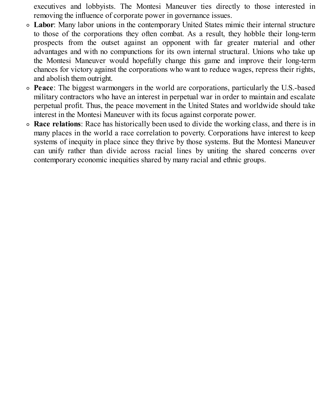executives and lobbyists. The Montesi Maneuver ties directly to those interested in removing the influence of corporate power in governance issues.

- **Labor**: Many labor unions in the contemporary United States mimic their internal structure to those of the corporations they often combat. As a result, they hobble their long-term prospects from the outset against an opponent with far greater material and other advantages and with no compunctions for its own internal structural. Unions who take up the Montesi Maneuver would hopefully change this game and improve their long-term chances for victory against the corporations who want to reduce wages, repress their rights, and abolish them outright.
- **Peace**: The biggest warmongers in the world are corporations, particularly the U.S.-based military contractors who have an interest in perpetual war in order to maintain and escalate perpetual profit. Thus, the peace movement in the United States and worldwide should take interest in the Montesi Maneuver with its focus against corporate power.
- **Race relations**: Race has historically been used to divide the working class, and there is in many places in the world a race correlation to poverty. Corporations have interest to keep systems of inequity in place since they thrive by those systems. But the Montesi Maneuver can unify rather than divide across racial lines by uniting the shared concerns over contemporary economic inequities shared by many racial and ethnic groups.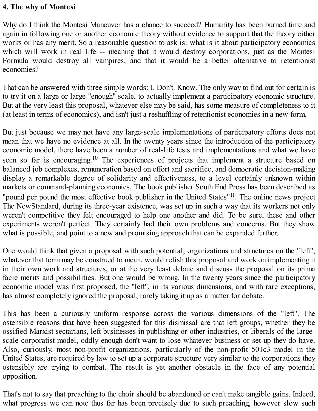#### <span id="page-18-0"></span>**4. The why of Montesi**

Why do I think the Montesi Maneuver has a chance to succeed? Humanity has been burned time and again in following one or another economic theory without evidence to support that the theory either works or has any merit. So a reasonable question to ask is: what is it about participatory economics which will work in real life -- meaning that it would destroy corporations, just as the Montesi Formula would destroy all vampires, and that it would be a better alternative to retentionist economies?

That can be answered with three simple words: I. Don't. Know. The only way to find out for certain is to try it on a large or large "enough" scale, to actually implement a participatory economic structure. But at the very least this proposal, whatever else may be said, has some measure of completeness to it (at least in terms of economics), and isn't just a reshuffling of retentionist economies in a new form.

But just because we may not have any large-scale implementations of participatory efforts does not mean that we have no evidence at all. In the twenty years since the introduction of the participatory economic model, there have been a number of real-life tests and implementations and what we have seen so far is encouraging.<sup>10</sup> The experiences of projects that implement a structure based on balanced job complexes, remuneration based on effort and sacrifice, and democratic decision-making display a remarkable degree of solidarity and effectiveness, to a level certainly unknown within markets or command-planning economies. The book publisher South End Press has been described as "pound per pound the most effective book publisher in the United States"<sup>11</sup>. The online news project The NewStandard, during its three-year existence, was set up in such a way that its workers not only weren't competitive they felt encouraged to help one another and did. To be sure, these and other experiments weren't perfect. They certainly had their own problems and concerns. But they show what is possible, and point to a new and promising approach that can be expanded further.

One would think that given a proposal with such potential, organizations and structures on the "left", whatever that term may be construed to mean, would relish this proposal and work on implementing it in their own work and structures, or at the very least debate and discuss the proposal on its prima facie merits and possibilities. But one would be wrong. In the twenty years since the participatory economic model was first proposed, the "left", in its various dimensions, and with rare exceptions, has almost completely ignored the proposal, rarely taking it up as a matter for debate.

This has been a curiously uniform response across the various dimensions of the "left". The ostensible reasons that have been suggested for this dismissal are that left groups, whether they be ossified Marxist sectarians, left businesses in publishing or other industries, or liberals of the largescale corporatist model, oddly enough don't want to lose whatever business or set-up they do have. Also, curiously, most non-profit organizations, particularly of the non-profit 501c3 model in the United States, are required by law to set up a corporate structure very similar to the corporations they ostensibly are trying to combat. The result is yet another obstacle in the face of any potential opposition.

That's not to say that preaching to the choir should be abandoned or can't make tangible gains. Indeed, what progress we can note thus far has been precisely due to such preaching, however slow such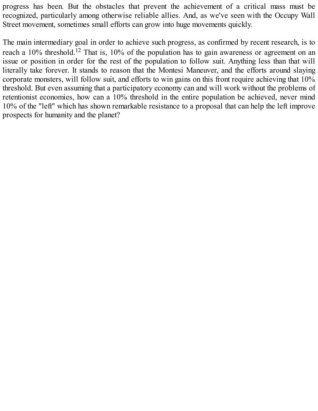progress has been. But the obstacles that prevent the achievement of a critical mass must be recognized, particularly among otherwise reliable allies. And, as we've seen with the Occupy Wall Street movement, sometimes small efforts can grow into huge movements quickly.

The main intermediary goal in order to achieve such progress, as confirmed by recent research, is to reach a 10% threshold.<sup>12</sup> That is, 10% of the population has to gain awareness or agreement on an issue or position in order for the rest of the population to follow suit. Anything less than that will literally take forever. It stands to reason that the Montesi Maneuver, and the efforts around slaying corporate monsters, will follow suit, and efforts to win gains on this front require achieving that 10% threshold. But even assuming that a participatory economy can and will work without the problems of retentionist economies, how can a 10% threshold in the entire population be achieved, never mind 10% of the "left" which has shown remarkable resistance to a proposal that can help the left improve prospects for humanity and the planet?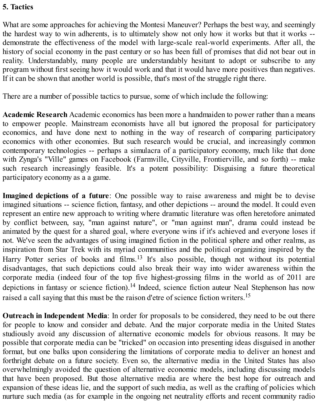#### <span id="page-20-0"></span>**5. Tactics**

What are some approaches for achieving the Montesi Maneuver? Perhaps the best way, and seemingly the hardest way to win adherents, is to ultimately show not only how it works but that it works - demonstrate the effectiveness of the model with large-scale real-world experiments. After all, the history of social economy in the past century or so has been full of promises that did not bear out in reality. Understandably, many people are understandably hesitant to adopt or subscribe to any program without first seeing how it would work and that it would have more positives than negatives. If it can be shown that another world is possible, that's most of the struggle right there.

There are a number of possible tactics to pursue, some of which include the following:

**Academic Research** Academic economics has been more a handmaiden to power rather than a means to empower people. Mainstream economists have all but ignored the proposal for participatory economics, and have done next to nothing in the way of research of comparing participatory economics with other economies. But such research would be crucial, and increasingly common contemporary technologies -- perhaps a simulacra of a participatory economy, much like that done with Zynga's "Ville" games on Facebook (Farmville, Cityville, Frontierville, and so forth) -- make such research increasingly feasible. It's a potent possibility: Disguising a future theoretical participatory economy as a a game.

**Imagined depictions of a future**: One possible way to raise awareness and might be to devise imagined situations -- science fiction, fantasy, and other depictions -- around the model. It could even represent an entire new approach to writing where dramatic literature was often heretofore animated by conflict between, say, "man against nature", or "man against man", drama could instead be animated by the quest for a shared goal, where everyone wins if it's achieved and everyone loses if not. We've seen the advantages of using imagined fiction in the political sphere and other realms, as inspiration from Star Trek with its myriad communities and the political organizing inspired by the Harry Potter series of books and films.<sup>13</sup> It's also possible, though not without its potential disadvantages, that such depictions could also break their way into wider awareness within the corporate media (indeed four of the top five highest-grossing films in the world as of 2011 are depictions in fantasy or science fiction).<sup>14</sup> Indeed, science fiction auteur Neal Stephenson has now raised a call saying that this must be the raison d'etre of science fiction writers.<sup>15</sup>

**Outreach in Independent Media**: In order for proposals to be considered, they need to be out there for people to know and consider and debate. And the major corporate media in the United States studiously avoid any discussion of alternative economic models for obvious reasons. It may be possible that corporate media can be "tricked" on occasion into presenting ideas disguised in another format, but one balks upon considering the limitations of corporate media to deliver an honest and forthright debate on a future society. Even so, the alternative media in the United States has also overwhelmingly avoided the question of alternative economic models, including discussing models that have been proposed. But those alternative media are where the best hope for outreach and expansion of these ideas lie, and the support of such media, as well as the crafting of policies which nurture such media (as for example in the ongoing net neutrality efforts and recent community radio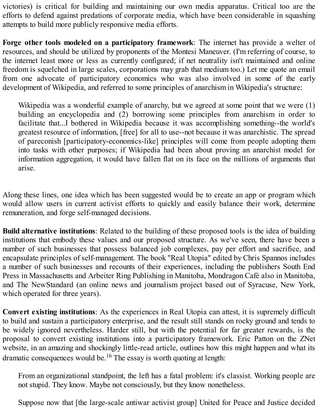victories) is critical for building and maintaining our own media apparatus. Critical too are the efforts to defend against predations of corporate media, which have been considerable in squashing attempts to build more publicly responsive media efforts.

**Forge other tools modeled on a participatory framework**: The internet has provide a welter of resources, and should be utilized by proponents of the Montesi Maneuver. (I'm referring of course, to the internet least more or less as currently configured; if net neutrality isn't maintained and online freedom is squelched in large scales, corporations may grab that medium too.) Let me quote an email from one advocate of participatory economics who was also involved in some of the early development of Wikipedia, and referred to some principles of anarchism in Wikipedia's structure:

Wikipedia was a wonderful example of anarchy, but we agreed at some point that we were (1) building an encyclopedia and (2) borrowing some principles from anarchism in order to facilitate that...I bothered in Wikipedia because it was accomplishing something--the world's greatest resource of information, [free] for all to use--not because it was anarchistic. The spread of pareconish [participatory-economics-like] principles will come from people adopting them into tasks with other purposes; if Wikipedia had been about proving an anarchist model for information aggregation, it would have fallen flat on its face on the millions of arguments that arise.

Along these lines, one idea which has been suggested would be to create an app or program which would allow users in current activist efforts to quickly and easily balance their work, determine remuneration, and forge self-managed decisions.

**Build alternative institutions**: Related to the building of these proposed tools is the idea of building institutions that embody these values and our proposed structure. As we've seen, there have been a number of such businesses that possess balanced job complexes, pay per effort and sacrifice, and encapsulate principles of self-management. The book "Real Utopia" edited by Chris Spannos includes a number of such businesses and recounts of their experiences, including the publishers South End Press in Massachusetts and Arbeiter Ring Publishing in Manitoba, Mondragon Café also in Manitoba, and The NewStandard (an online news and journalism project based out of Syracuse, New York, which operated for three years).

**Convert existing institutions**: As the experiences in Real Utopia can attest, it is supremely difficult to build and sustain a participatory enterprise, and the result still stands on rocky ground and tends to be widely ignored nevertheless. Harder still, but with the potential for far greater rewards, is the proposal to convert existing institutions into a participatory framework. Eric Patton on the ZNet website, in an amazing and shockingly little-read article, outlines how this might happen and what its dramatic consequences would be.<sup>16</sup> The essay is worth quoting at length:

From an organizational standpoint, the left has a fatal problem: it's classist. Working people are not stupid. They know. Maybe not consciously, but they know nonetheless.

Suppose now that [the large-scale antiwar activist group] United for Peace and Justice decided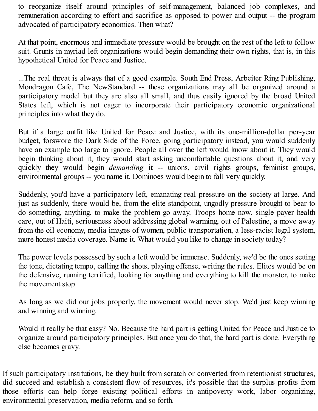to reorganize itself around principles of self-management, balanced job complexes, and remuneration according to effort and sacrifice as opposed to power and output -- the program advocated of participatory economics. Then what?

At that point, enormous and immediate pressure would be brought on the rest of the left to follow suit. Grunts in myriad left organizations would begin demanding their own rights, that is, in this hypothetical United for Peace and Justice.

...The real threat is always that of a good example. South End Press, Arbeiter Ring Publishing, Mondragon Café, The NewStandard -- these organizations may all be organized around a participatory model but they are also all small, and thus easily ignored by the broad United States left, which is not eager to incorporate their participatory economic organizational principles into what they do.

But if a large outfit like United for Peace and Justice, with its one-million-dollar per-year budget, forswore the Dark Side of the Force, going participatory instead, you would suddenly have an example too large to ignore. People all over the left would know about it. They would begin thinking about it, they would start asking uncomfortable questions about it, and very quickly they would begin *demanding* it -- unions, civil rights groups, feminist groups, environmental groups -- you name it. Dominoes would begin to fall very quickly.

Suddenly, you'd have a participatory left, emanating real pressure on the society at large. And just as suddenly, there would be, from the elite standpoint, ungodly pressure brought to bear to do something, anything, to make the problem go away. Troops home now, single payer health care, out of Haiti, seriousness about addressing global warming, out of Palestine, a move away from the oil economy, media images of women, public transportation, a less-racist legal system, more honest media coverage. Name it. What would you like to change in society today?

The power levels possessed by such a left would be immense. Suddenly, *we*'d be the ones setting the tone, dictating tempo, calling the shots, playing offense, writing the rules. Elites would be on the defensive, running terrified, looking for anything and everything to kill the monster, to make the movement stop.

As long as we did our jobs properly, the movement would never stop. We'd just keep winning and winning and winning.

Would it really be that easy? No. Because the hard part is getting United for Peace and Justice to organize around participatory principles. But once you do that, the hard part is done. Everything else becomes gravy.

If such participatory institutions, be they built from scratch or converted from retentionist structures, did succeed and establish a consistent flow of resources, it's possible that the surplus profits from those efforts can help forge existing political efforts in antipoverty work, labor organizing, environmental preservation, media reform, and so forth.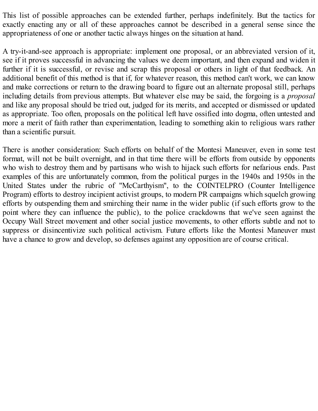This list of possible approaches can be extended further, perhaps indefinitely. But the tactics for exactly enacting any or all of these approaches cannot be described in a general sense since the appropriateness of one or another tactic always hinges on the situation at hand.

A try-it-and-see approach is appropriate: implement one proposal, or an abbreviated version of it, see if it proves successful in advancing the values we deem important, and then expand and widen it further if it is successful, or revise and scrap this proposal or others in light of that feedback. An additional benefit of this method is that if, for whatever reason, this method can't work, we can know and make corrections or return to the drawing board to figure out an alternate proposal still, perhaps including details from previous attempts. But whatever else may be said, the forgoing is a *proposal* and like any proposal should be tried out, judged for its merits, and accepted or dismissed or updated as appropriate. Too often, proposals on the political left have ossified into dogma, often untested and more a merit of faith rather than experimentation, leading to something akin to religious wars rather than a scientific pursuit.

There is another consideration: Such efforts on behalf of the Montesi Maneuver, even in some test format, will not be built overnight, and in that time there will be efforts from outside by opponents who wish to destroy them and by partisans who wish to hijack such efforts for nefarious ends. Past examples of this are unfortunately common, from the political purges in the 1940s and 1950s in the United States under the rubric of "McCarthyism", to the COINTELPRO (Counter Intelligence Program) efforts to destroy incipient activist groups, to modern PR campaigns which squelch growing efforts by outspending them and smirching their name in the wider public (if such efforts grow to the point where they can influence the public), to the police crackdowns that we've seen against the Occupy Wall Street movement and other social justice movements, to other efforts subtle and not to suppress or disincentivize such political activism. Future efforts like the Montesi Maneuver must have a chance to grow and develop, so defenses against any opposition are of course critical.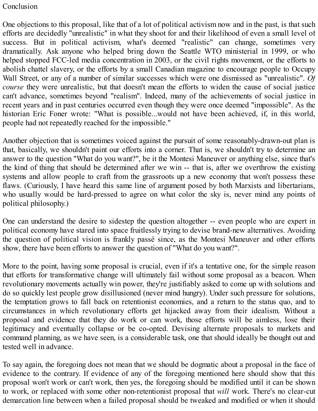#### <span id="page-24-0"></span>Conclusion

One objections to this proposal, like that of a lot of political activism now and in the past, is that such efforts are decidedly "unrealistic" in what they shoot for and their likelihood of even a small level of success. But in political activism, what's deemed "realistic" can change, sometimes very dramatically. Ask anyone who helped bring down the Seattle WTO ministerial in 1999, or who helped stopped FCC-led media concentration in 2003, or the civil rights movement, or the efforts to abolish chattel slavery, or the efforts by a small Canadian magazine to encourage people to Occupy Wall Street, or any of a number of similar successes which were one dismissed as "unrealistic". *Of course* they were unrealistic, but that doesn't mean the efforts to widen the cause of social justice can't advance, sometimes beyond "realism". Indeed, many of the achievements of social justice in recent years and in past centuries occurred even though they were once deemed "impossible". As the historian Eric Foner wrote: "What is possible...would not have been achieved, if, in this world, people had not repeatedly reached for the impossible."

Another objection that is sometimes voiced against the pursuit of some reasonably-drawn-out plan is that, basically, we shouldn't paint our efforts into a corner. That is, we shouldn't try to determine an answer to the question "What do you want?", be it the Montesi Maneuver or anything else, since that's the kind of thing that should be determined after we win -- that is, after we overthrow the existing systems and allow people to craft from the grassroots up a new economy that won't possess these flaws. (Curiously, I have heard this same line of argument posed by both Marxists and libertarians, who usually would be hard-pressed to agree on what color the sky is, never mind any points of political philosophy.)

One can understand the desire to sidestep the question altogether -- even people who are expert in political economy have stared into space fruitlessly trying to devise brand-new alternatives. Avoiding the question of political vision is frankly passé since, as the Montesi Maneuver and other efforts show, there have been efforts to answer the question of "What do you want?".

More to the point, having some proposal is crucial, even if it's a tentative one, for the simple reason that efforts for transformative change will ultimately fail without some proposal as a beacon. When revolutionary movements actually win power, they're justifiably asked to come up with solutions and do so quickly lest people grow disillusioned (never mind hungry). Under such pressure for solutions, the temptation grows to fall back on retentionist economies, and a return to the status quo, and to circumstances in which revolutionary efforts get hijacked away from their idealism. Without a proposal and evidence that they do work or can work, those efforts will be aimless, lose their legitimacy and eventually collapse or be co-opted. Devising alternate proposals to markets and command planning, as we have seen, is a considerable task, one that should ideally be thought out and tested well in advance.

To say again, the foregoing does not mean that we should be dogmatic about a proposal in the face of evidence to the contrary. If evidence of any of the foregoing mentioned here should show that this proposal won't work or can't work, then yes, the foregoing should be modified until it can be shown to work, or replaced with some other non-retentionist proposal that *will* work. There's no clear-cut demarcation line between when a failed proposal should be tweaked and modified or when it should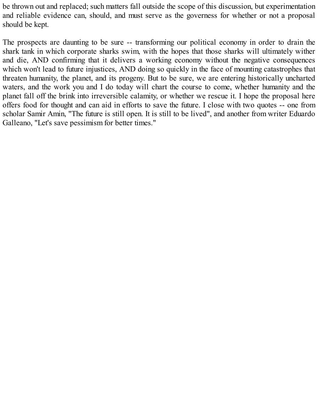be thrown out and replaced; such matters fall outside the scope of this discussion, but experimentation and reliable evidence can, should, and must serve as the governess for whether or not a proposal should be kept.

The prospects are daunting to be sure -- transforming our political economy in order to drain the shark tank in which corporate sharks swim, with the hopes that those sharks will ultimately wither and die, AND confirming that it delivers a working economy without the negative consequences which won't lead to future injustices, AND doing so quickly in the face of mounting catastrophes that threaten humanity, the planet, and its progeny. But to be sure, we are entering historically uncharted waters, and the work you and I do today will chart the course to come, whether humanity and the planet fall off the brink into irreversible calamity, or whether we rescue it. I hope the proposal here offers food for thought and can aid in efforts to save the future. I close with two quotes -- one from scholar Samir Amin, "The future is still open. It is still to be lived", and another from writer Eduardo Galleano, "Let's save pessimism for better times."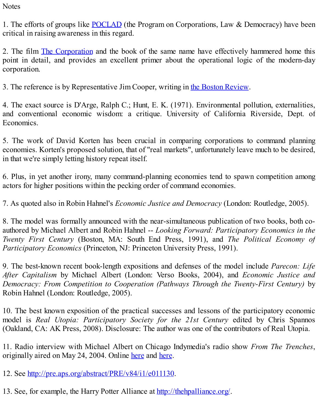<span id="page-26-0"></span>**Notes** 

1. The efforts of groups like [POCLAD](http://www.poclad.org) (the Program on Corporations, Law & Democracy) have been critical in raising awareness in this regard.

2. The film The [Corporation](http://www.thecorporation.org) and the book of the same name have effectively hammered home this point in detail, and provides an excellent primer about the operational logic of the modern-day corporation.

3. The reference is by Representative Jim Cooper, writing in the Boston [Review.](http://bostonreview.net/BR36.3/ndf_jim_cooper_fixing_congress.php)

4. The exact source is D'Arge, Ralph C.; Hunt, E. K. (1971). Environmental pollution, externalities, and conventional economic wisdom: a critique. University of California Riverside, Dept. of Economics.

5. The work of David Korten has been crucial in comparing corporations to command planning economies. Korten's proposed solution, that of "real markets", unfortunately leave much to be desired, in that we're simply letting history repeat itself.

6. Plus, in yet another irony, many command-planning economies tend to spawn competition among actors for higher positions within the pecking order of command economies.

7. As quoted also in Robin Hahnel's *Economic Justice and Democracy* (London: Routledge, 2005).

8. The model was formally announced with the near-simultaneous publication of two books, both coauthored by Michael Albert and Robin Hahnel -- *Looking Forward: Participatory Economics in the Twenty First Century* (Boston, MA: South End Press, 1991), and *The Political Economy of Participatory Economics* (Princeton, NJ: Princeton University Press, 1991).

9. The best-known recent book-length expositions and defenses of the model include *Parecon: Life After Capitalism* by Michael Albert (London: Verso Books, 2004), and *Economic Justice and Democracy: From Competition to Cooperation (Pathways Through the Twenty-First Century)* by Robin Hahnel (London: Routledge, 2005).

10. The best known exposition of the practical successes and lessons of the participatory economic model is *Real Utopia: Participatory Society for the 21st Century* edited by Chris Spannos (Oakland, CA: AK Press, 2008). Disclosure: The author was one of the contributors of Real Utopia.

11. Radio interview with Michael Albert on Chicago Indymedia's radio show *From The Trenches*, originally aired on May 24, 2004. Online [here](http://chicago.indymedia.org/usermedia/audio/3/FTT_5-24-04Part_3.mp3) and [here.](http://chicago.indymedia.org/usermedia/audio/13/FTT_5-24-04Part4.mp3)

12. See [http://pre.aps.org/abstract/PRE/v84/i1/e011130.](http://pre.aps.org/abstract/PRE/v84/i1/e011130)

13. See, for example, the Harry Potter Alliance at [http://thehpalliance.org/.](http://thehpalliance.org/)